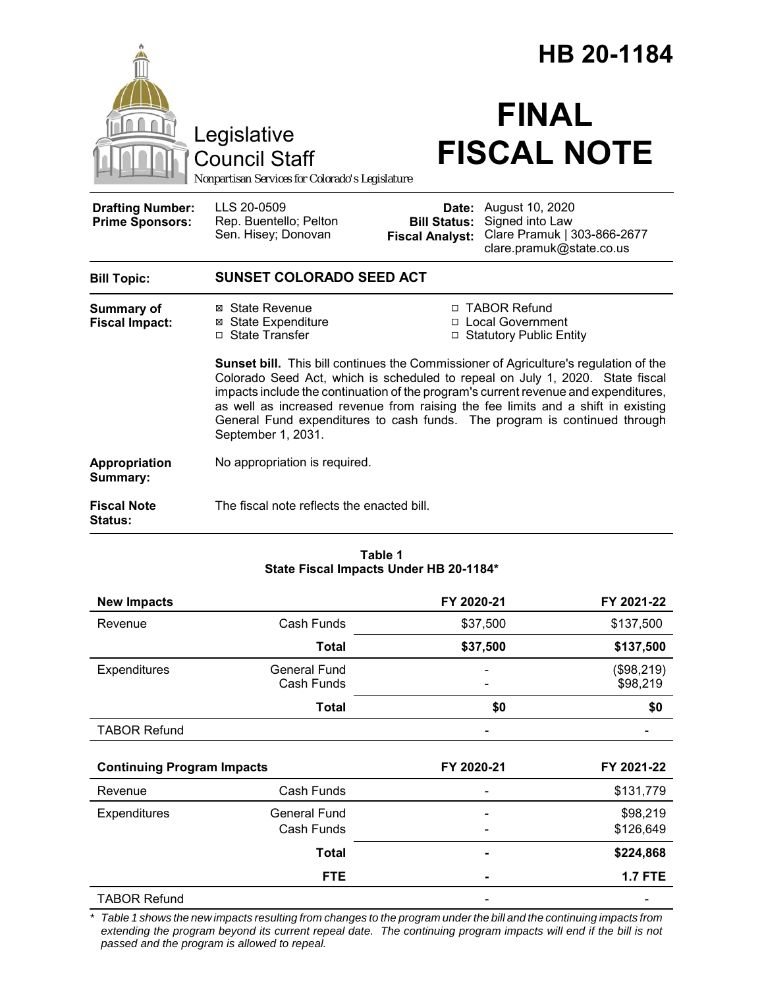| Legislative<br><b>Council Staff</b><br>Nonpartisan Services for Colorado's Legislature |                                                                                                                                                                                                                                                                                                                                                                                                                                                            |                                               | HB 20-1184<br><b>FINAL</b><br><b>FISCAL NOTE</b>                                                           |  |  |
|----------------------------------------------------------------------------------------|------------------------------------------------------------------------------------------------------------------------------------------------------------------------------------------------------------------------------------------------------------------------------------------------------------------------------------------------------------------------------------------------------------------------------------------------------------|-----------------------------------------------|------------------------------------------------------------------------------------------------------------|--|--|
| <b>Drafting Number:</b><br><b>Prime Sponsors:</b>                                      | LLS 20-0509<br>Rep. Buentello; Pelton<br>Sen. Hisey; Donovan                                                                                                                                                                                                                                                                                                                                                                                               | <b>Bill Status:</b><br><b>Fiscal Analyst:</b> | <b>Date:</b> August 10, 2020<br>Signed into Law<br>Clare Pramuk   303-866-2677<br>clare.pramuk@state.co.us |  |  |
| <b>Bill Topic:</b>                                                                     | <b>SUNSET COLORADO SEED ACT</b>                                                                                                                                                                                                                                                                                                                                                                                                                            |                                               |                                                                                                            |  |  |
| Summary of<br><b>Fiscal Impact:</b>                                                    | ⊠ State Revenue<br><b>⊠</b> State Expenditure<br>□ State Transfer                                                                                                                                                                                                                                                                                                                                                                                          |                                               | □ TABOR Refund<br>□ Local Government<br>□ Statutory Public Entity                                          |  |  |
|                                                                                        | <b>Sunset bill.</b> This bill continues the Commissioner of Agriculture's regulation of the<br>Colorado Seed Act, which is scheduled to repeal on July 1, 2020. State fiscal<br>impacts include the continuation of the program's current revenue and expenditures,<br>as well as increased revenue from raising the fee limits and a shift in existing<br>General Fund expenditures to cash funds. The program is continued through<br>September 1, 2031. |                                               |                                                                                                            |  |  |
| Appropriation<br>Summary:                                                              | No appropriation is required.                                                                                                                                                                                                                                                                                                                                                                                                                              |                                               |                                                                                                            |  |  |
| <b>Fiscal Note</b><br>Status:                                                          | The fiscal note reflects the enacted bill.                                                                                                                                                                                                                                                                                                                                                                                                                 |                                               |                                                                                                            |  |  |

#### **Table 1 State Fiscal Impacts Under HB 20-1184\***

| <b>New Impacts</b>                |                                   | FY 2020-21 | FY 2021-22             |
|-----------------------------------|-----------------------------------|------------|------------------------|
| Revenue                           | Cash Funds                        | \$37,500   | \$137,500              |
|                                   | <b>Total</b>                      | \$37,500   | \$137,500              |
| Expenditures                      | <b>General Fund</b><br>Cash Funds |            | (\$98,219)<br>\$98,219 |
|                                   | <b>Total</b>                      | \$0        | \$0                    |
| <b>TABOR Refund</b>               |                                   |            |                        |
|                                   |                                   |            |                        |
| <b>Continuing Program Impacts</b> |                                   | FY 2020-21 | FY 2021-22             |
| Revenue                           | Cash Funds                        |            | \$131,779              |
| <b>Expenditures</b>               | General Fund                      |            | \$98,219               |
|                                   | Cash Funds                        |            | \$126,649              |
|                                   | <b>Total</b>                      |            | \$224,868              |
|                                   | <b>FTE</b>                        |            | <b>1.7 FTE</b>         |
| <b>TABOR Refund</b>               |                                   |            |                        |

*\* Table 1 shows the new impacts resulting from changes to the program under the bill and the continuing impacts from extending the program beyond its current repeal date. The continuing program impacts will end if the bill is not passed and the program is allowed to repeal.*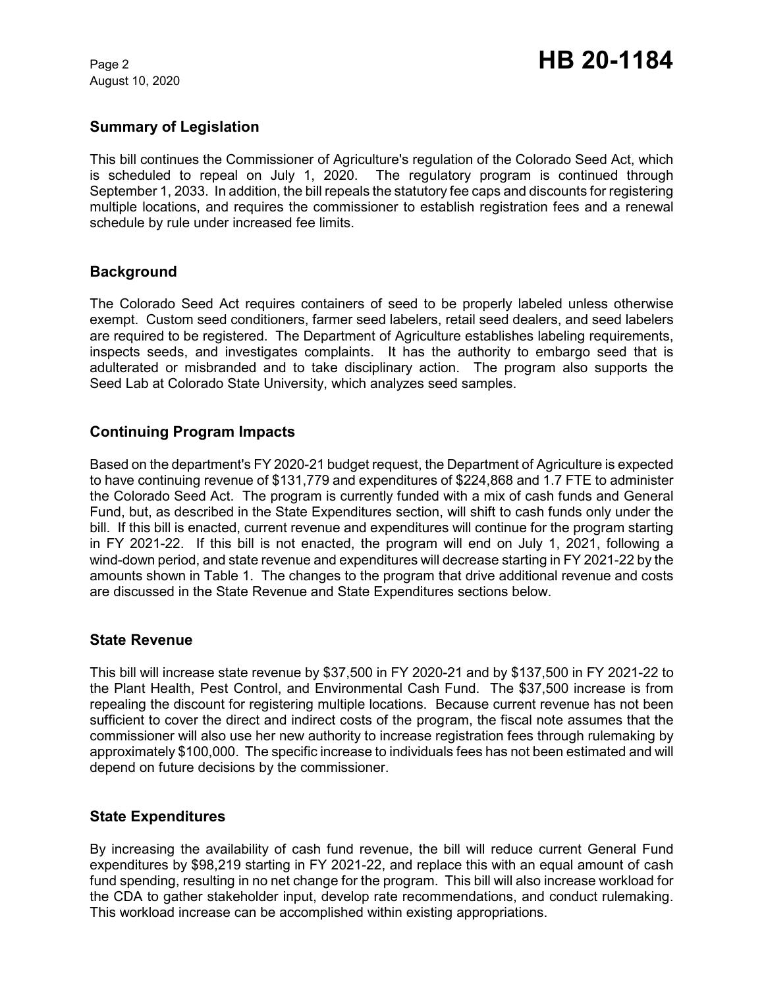August 10, 2020

### **Summary of Legislation**

This bill continues the Commissioner of Agriculture's regulation of the Colorado Seed Act, which is scheduled to repeal on July 1, 2020. The regulatory program is continued through September 1, 2033. In addition, the bill repeals the statutory fee caps and discounts for registering multiple locations, and requires the commissioner to establish registration fees and a renewal schedule by rule under increased fee limits.

#### **Background**

The Colorado Seed Act requires containers of seed to be properly labeled unless otherwise exempt. Custom seed conditioners, farmer seed labelers, retail seed dealers, and seed labelers are required to be registered. The Department of Agriculture establishes labeling requirements, inspects seeds, and investigates complaints. It has the authority to embargo seed that is adulterated or misbranded and to take disciplinary action. The program also supports the Seed Lab at Colorado State University, which analyzes seed samples.

#### **Continuing Program Impacts**

Based on the department's FY 2020-21 budget request, the Department of Agriculture is expected to have continuing revenue of \$131,779 and expenditures of \$224,868 and 1.7 FTE to administer the Colorado Seed Act. The program is currently funded with a mix of cash funds and General Fund, but, as described in the State Expenditures section, will shift to cash funds only under the bill. If this bill is enacted, current revenue and expenditures will continue for the program starting in FY 2021-22. If this bill is not enacted, the program will end on July 1, 2021, following a wind-down period, and state revenue and expenditures will decrease starting in FY 2021-22 by the amounts shown in Table 1. The changes to the program that drive additional revenue and costs are discussed in the State Revenue and State Expenditures sections below.

#### **State Revenue**

This bill will increase state revenue by \$37,500 in FY 2020-21 and by \$137,500 in FY 2021-22 to the Plant Health, Pest Control, and Environmental Cash Fund. The \$37,500 increase is from repealing the discount for registering multiple locations. Because current revenue has not been sufficient to cover the direct and indirect costs of the program, the fiscal note assumes that the commissioner will also use her new authority to increase registration fees through rulemaking by approximately \$100,000. The specific increase to individuals fees has not been estimated and will depend on future decisions by the commissioner.

#### **State Expenditures**

By increasing the availability of cash fund revenue, the bill will reduce current General Fund expenditures by \$98,219 starting in FY 2021-22, and replace this with an equal amount of cash fund spending, resulting in no net change for the program. This bill will also increase workload for the CDA to gather stakeholder input, develop rate recommendations, and conduct rulemaking. This workload increase can be accomplished within existing appropriations.